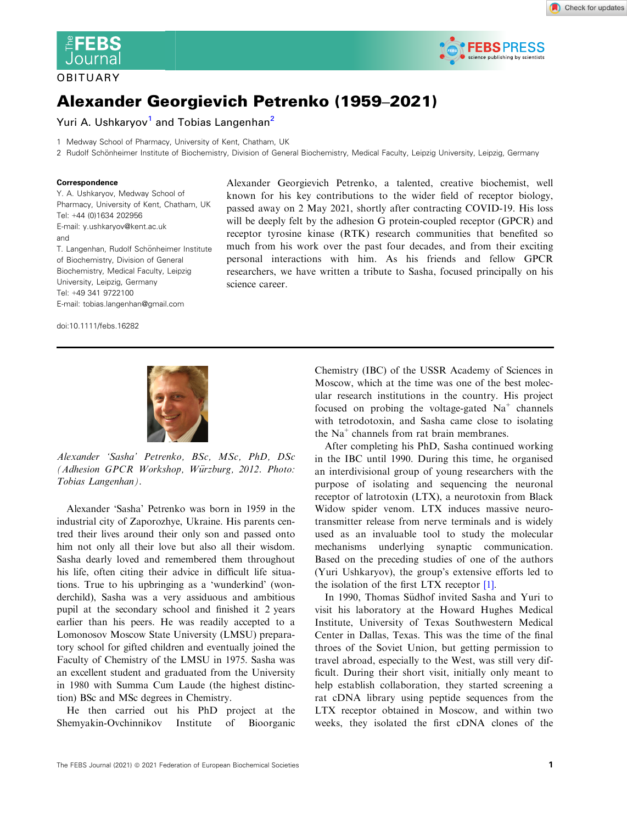



Check for updates

## Alexander Georgievich Petrenko (1959–2021)

Yuri A. Ushkaryov<sup>1</sup> and Tobias Langenhan<sup>2</sup>

1 Medway School of Pharmacy, University of Kent, Chatham, UK

2 Rudolf Schönheimer Institute of Biochemistry, Division of General Biochemistry, Medical Faculty, Leipzig University, Leipzig, Germany

## Correspondence

Y. A. Ushkaryov, Medway School of Pharmacy, University of Kent, Chatham, UK Tel: +44 (0)1634 202956 E-mail: [y.ushkaryov@kent.ac.uk](mailto:) and T. Langenhan, Rudolf Schönheimer Institute of Biochemistry, Division of General Biochemistry, Medical Faculty, Leipzig University, Leipzig, Germany Tel: +49 341 9722100 E-mail: [tobias.langenhan@gmail.com](mailto:)

Alexander Georgievich Petrenko, a talented, creative biochemist, well known for his key contributions to the wider field of receptor biology, passed away on 2 May 2021, shortly after contracting COVID-19. His loss will be deeply felt by the adhesion G protein-coupled receptor (GPCR) and receptor tyrosine kinase (RTK) research communities that benefited so much from his work over the past four decades, and from their exciting personal interactions with him. As his friends and fellow GPCR researchers, we have written a tribute to Sasha, focused principally on his science career.

doi:10.1111/febs.16282



Alexander 'Sasha' Petrenko, BSc, MSc, PhD, DSc (Adhesion GPCR Workshop, Würzburg, 2012. Photo: Tobias Langenhan).

Alexander 'Sasha' Petrenko was born in 1959 in the industrial city of Zaporozhye, Ukraine. His parents centred their lives around their only son and passed onto him not only all their love but also all their wisdom. Sasha dearly loved and remembered them throughout his life, often citing their advice in difficult life situations. True to his upbringing as a 'wunderkind' (wonderchild), Sasha was a very assiduous and ambitious pupil at the secondary school and finished it 2 years earlier than his peers. He was readily accepted to a Lomonosov Moscow State University (LMSU) preparatory school for gifted children and eventually joined the Faculty of Chemistry of the LMSU in 1975. Sasha was an excellent student and graduated from the University in 1980 with Summa Cum Laude (the highest distinction) BSc and MSc degrees in Chemistry.

He then carried out his PhD project at the Shemyakin-Ovchinnikov Institute of Bioorganic

Chemistry (IBC) of the USSR Academy of Sciences in Moscow, which at the time was one of the best molecular research institutions in the country. His project focused on probing the voltage-gated  $Na<sup>+</sup>$  channels with tetrodotoxin, and Sasha came close to isolating the Na<sup>+</sup> channels from rat brain membranes.

After completing his PhD, Sasha continued working in the IBC until 1990. During this time, he organised an interdivisional group of young researchers with the purpose of isolating and sequencing the neuronal receptor of latrotoxin (LTX), a neurotoxin from Black Widow spider venom. LTX induces massive neurotransmitter release from nerve terminals and is widely used as an invaluable tool to study the molecular mechanisms underlying synaptic communication. Based on the preceding studies of one of the authors (Yuri Ushkaryov), the group's extensive efforts led to the isolation of the first LTX receptor [[1\]](#page-1-0).

In 1990, Thomas Südhof invited Sasha and Yuri to visit his laboratory at the Howard Hughes Medical Institute, University of Texas Southwestern Medical Center in Dallas, Texas. This was the time of the final throes of the Soviet Union, but getting permission to travel abroad, especially to the West, was still very difficult. During their short visit, initially only meant to help establish collaboration, they started screening a rat cDNA library using peptide sequences from the LTX receptor obtained in Moscow, and within two weeks, they isolated the first cDNA clones of the